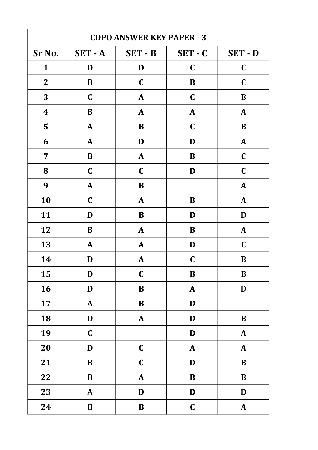| <b>CDPO ANSWER KEY PAPER - 3</b> |              |              |              |              |
|----------------------------------|--------------|--------------|--------------|--------------|
| Sr No.                           | $SET - A$    | SET-B        | $SET - C$    | SET - D      |
| $\mathbf{1}$                     | D            | D            | $\mathbf C$  | $\mathbf C$  |
| $\mathbf{2}$                     | $\bf{B}$     | $\mathbf C$  | $\bf{B}$     | $\mathbf C$  |
| 3                                | $\mathbf C$  | $\mathbf{A}$ | $\mathbf C$  | B            |
| $\boldsymbol{4}$                 | B            | ${\bf A}$    | $\mathbf{A}$ | $\mathbf{A}$ |
| 5                                | $\mathbf{A}$ | B            | $\mathbf C$  | B            |
| 6                                | $\mathbf{A}$ | D            | D            | $\mathbf{A}$ |
| $\overline{7}$                   | $\bf{B}$     | ${\bf A}$    | B            | $\mathbf C$  |
| 8                                | $\mathbf C$  | $\mathbf C$  | D            | $\mathbf C$  |
| 9                                | $\mathbf{A}$ | $\bf{B}$     |              | $\mathbf{A}$ |
| 10                               | $\mathbf C$  | A            | B            | $\mathbf{A}$ |
| 11                               | D            | B            | D            | D            |
| 12                               | B            | $\mathbf{A}$ | B            | $\mathbf{A}$ |
| 13                               | $\mathbf{A}$ | $\mathbf{A}$ | D            | $\mathbf C$  |
| 14                               | D            | $\mathbf{A}$ | $\mathbf C$  | B            |
| 15                               | D            | $\mathbf C$  | $\bf{B}$     | B            |
| 16                               | D            | $\bf{B}$     | ${\bf A}$    | D            |
| 17                               | $\mathbf{A}$ | $\bf{B}$     | D            |              |
| 18                               | $\mathbf D$  | $\pmb{A}$    | $\mathbf D$  | $\bf{B}$     |
| 19                               | $\mathbf C$  |              | $\mathbf D$  | $\mathbf{A}$ |
| 20                               | D            | $\mathbf C$  | ${\bf A}$    | $\mathbf{A}$ |
| 21                               | $\bf{B}$     | $\mathbf C$  | $\mathbf D$  | $\, {\bf B}$ |
| 22                               | $\bf{B}$     | ${\bf A}$    | $\bf{B}$     | $\bf{B}$     |
| 23                               | $\mathbf{A}$ | D            | $\mathbf D$  | $\mathbf D$  |
| 24                               | $\, {\bf B}$ | $\, {\bf B}$ | $\mathbf C$  | $\mathbf{A}$ |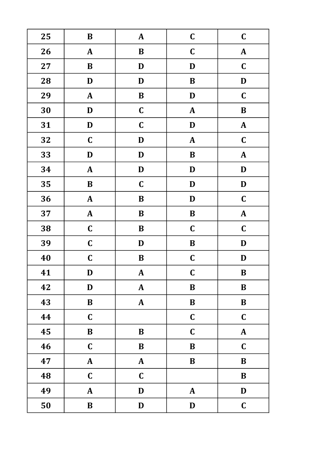| 25 | $\, {\bf B}$ | ${\bf A}$    | $\mathbf C$  | $\mathbf C$  |
|----|--------------|--------------|--------------|--------------|
| 26 | $\mathbf{A}$ | $\bf{B}$     | $\mathbf C$  | $\mathbf{A}$ |
| 27 | $\bf{B}$     | D            | D            | $\mathbf C$  |
| 28 | $\mathbf D$  | D            | $\bf{B}$     | D            |
| 29 | $\mathbf{A}$ | $\, {\bf B}$ | $\mathbf D$  | $\mathbf C$  |
| 30 | D            | $\mathbf C$  | ${\bf A}$    | $\bf{B}$     |
| 31 | $\mathbf D$  | $\mathbf C$  | $\mathbf D$  | $\mathbf{A}$ |
| 32 | $\mathbf C$  | $\mathbf D$  | ${\bf A}$    | $\mathbf C$  |
| 33 | D            | $\mathbf D$  | $\bf{B}$     | ${\bf A}$    |
| 34 | ${\bf A}$    | $\mathbf D$  | $\mathbf D$  | D            |
| 35 | $\, {\bf B}$ | $\mathbf C$  | $\mathbf D$  | $\mathbf D$  |
| 36 | ${\bf A}$    | $\, {\bf B}$ | $\mathbf D$  | $\mathbf C$  |
| 37 | ${\bf A}$    | $\bf{B}$     | $\bf{B}$     | $\mathbf{A}$ |
| 38 | $\mathbf C$  | $\, {\bf B}$ | $\mathbf C$  | $\mathbf C$  |
| 39 | $\mathbf C$  | $\mathbf D$  | $\bf{B}$     | D            |
| 40 | $\mathbf C$  | $\bf{B}$     | $\mathbf C$  | $\mathbf D$  |
| 41 | D            | ${\bf A}$    | $\mathbf C$  | $\bf{B}$     |
| 42 | $\mathbf D$  | ${\bf A}$    | $\, {\bf B}$ | $\bf{B}$     |
| 43 | $\, {\bf B}$ | ${\bf A}$    | $\, {\bf B}$ | $\, {\bf B}$ |
| 44 | $\mathbf C$  |              | $\mathbf C$  | $\mathbf C$  |
| 45 | $\, {\bf B}$ | $\bf{B}$     | $\mathbf C$  | ${\bf A}$    |
| 46 | $\mathbf C$  | $\, {\bf B}$ | $\bf{B}$     | $\mathbf C$  |
| 47 | ${\bf A}$    | ${\bf A}$    | $\, {\bf B}$ | $\bf{B}$     |
| 48 | $\mathbf C$  | $\mathbf C$  |              | $\, {\bf B}$ |
| 49 | $\mathbf{A}$ | D            | $\mathbf{A}$ | $\mathbf{D}$ |
| 50 | $\, {\bf B}$ | D            | $\mathbf D$  | $\mathbf C$  |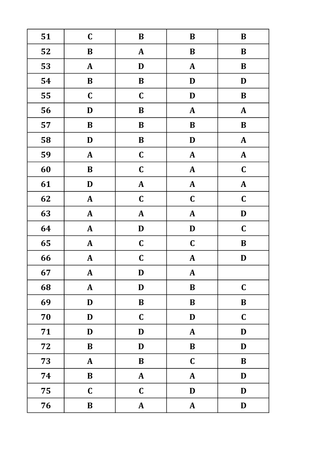| 51 | $\mathbf C$  | $\, {\bf B}$     | $\, {\bf B}$  | $\bf B$      |
|----|--------------|------------------|---------------|--------------|
| 52 | $\bf{B}$     | $\mathbf{A}$     | $\, {\bf B}$  | $\bf B$      |
| 53 | ${\bf A}$    | $\mathbf D$      | ${\bf A}$     | $\, {\bf B}$ |
| 54 | $\, {\bf B}$ | $\, {\bf B}$     | $\mathbf D$   | $\mathbf D$  |
| 55 | $\mathbf C$  | $\mathbf C$      | $\mathbf D$   | $\, {\bf B}$ |
| 56 | $\mathbf D$  | $\, {\bf B}$     | $\pmb{A}$     | ${\bf A}$    |
| 57 | $\, {\bf B}$ | $\bf{B}$         | $\bf{B}$      | $\, {\bf B}$ |
| 58 | $\mathbf D$  | $\, {\bf B}$     | $\mathbf D$   | $\mathbf{A}$ |
| 59 | $\mathbf{A}$ | $\mathbf C$      | $\pmb{A}$     | ${\bf A}$    |
| 60 | $\, {\bf B}$ | $\mathbf C$      | $\pmb{A}$     | $\mathbf C$  |
| 61 | $\mathbf D$  | ${\bf A}$        | ${\bf A}$     | ${\bf A}$    |
| 62 | $\mathbf{A}$ | $\mathbf C$      | $\mathbf C$   | $\mathbf C$  |
| 63 | ${\bf A}$    | ${\bf A}$        | ${\bf A}$     | D            |
| 64 | $\mathbf{A}$ | $\mathbf D$      | $\mathbf{D}%$ | $\mathbf C$  |
| 65 | $\mathbf{A}$ | $\mathbf C$      | $\mathbf C$   | $\bf{B}$     |
| 66 | ${\bf A}$    | $\mathbf C$      | ${\bf A}$     | D            |
| 67 | $\mathbf{A}$ | D                | $\mathbf{A}$  |              |
| 68 | ${\bf A}$    | $\mathbf D$      | $\bf{B}$      | $\mathbf C$  |
| 69 | D            | $\, {\bf B}$     | $\bf{B}$      | $\bf{B}$     |
| 70 | D            | $\mathbf C$      | $\mathbf D$   | $\mathbf C$  |
| 71 | $\mathbf D$  | $\mathbf D$      | $\pmb{A}$     | $\mathbf D$  |
| 72 | $\bf{B}$     | D                | $\bf{B}$      | $\mathbf D$  |
| 73 | $\mathbf{A}$ | $\bf{B}$         | $\mathbf C$   | $\bf{B}$     |
| 74 | $\, {\bf B}$ | $\boldsymbol{A}$ | $\mathbf{A}$  | D            |
| 75 | $\mathbf C$  | $\mathbf C$      | $\mathbf D$   | D            |
| 76 | $\, {\bf B}$ | $\mathbf{A}$     | ${\bf A}$     | $\mathbf D$  |